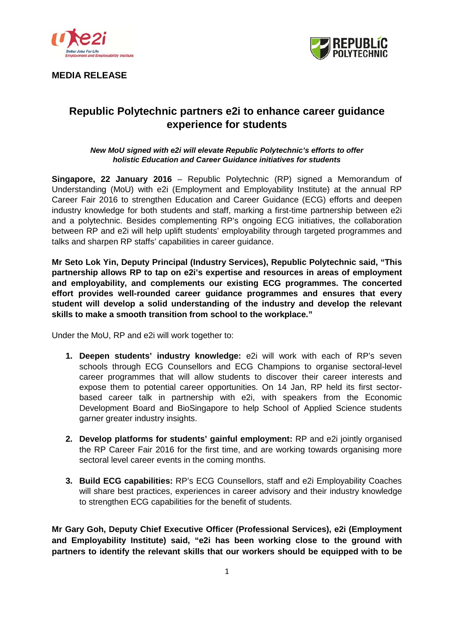

**MEDIA RELEASE** 



# **Republic Polytechnic partners e2i to enhance career guidance experience for students**

### *New MoU signed with e2i will elevate Republic Polytechnic's efforts to offer holistic Education and Career Guidance initiatives for students*

**Singapore, 22 January 2016** – Republic Polytechnic (RP) signed a Memorandum of Understanding (MoU) with e2i (Employment and Employability Institute) at the annual RP Career Fair 2016 to strengthen Education and Career Guidance (ECG) efforts and deepen industry knowledge for both students and staff, marking a first-time partnership between e2i and a polytechnic. Besides complementing RP's ongoing ECG initiatives, the collaboration between RP and e2i will help uplift students' employability through targeted programmes and talks and sharpen RP staffs' capabilities in career guidance.

**Mr Seto Lok Yin, Deputy Principal (Industry Services), Republic Polytechnic said, "This partnership allows RP to tap on e2i's expertise and resources in areas of employment and employability, and complements our existing ECG programmes. The concerted effort provides well-rounded career guidance programmes and ensures that every student will develop a solid understanding of the industry and develop the relevant skills to make a smooth transition from school to the workplace."**

Under the MoU, RP and e2i will work together to:

- **1. Deepen students' industry knowledge:** e2i will work with each of RP's seven schools through ECG Counsellors and ECG Champions to organise sectoral-level career programmes that will allow students to discover their career interests and expose them to potential career opportunities. On 14 Jan, RP held its first sectorbased career talk in partnership with e2i, with speakers from the Economic Development Board and BioSingapore to help School of Applied Science students garner greater industry insights.
- **2. Develop platforms for students' gainful employment:** RP and e2i jointly organised the RP Career Fair 2016 for the first time, and are working towards organising more sectoral level career events in the coming months.
- **3. Build ECG capabilities:** RP's ECG Counsellors, staff and e2i Employability Coaches will share best practices, experiences in career advisory and their industry knowledge to strengthen ECG capabilities for the benefit of students.

**Mr Gary Goh, Deputy Chief Executive Officer (Professional Services), e2i (Employment and Employability Institute) said, "e2i has been working close to the ground with partners to identify the relevant skills that our workers should be equipped with to be**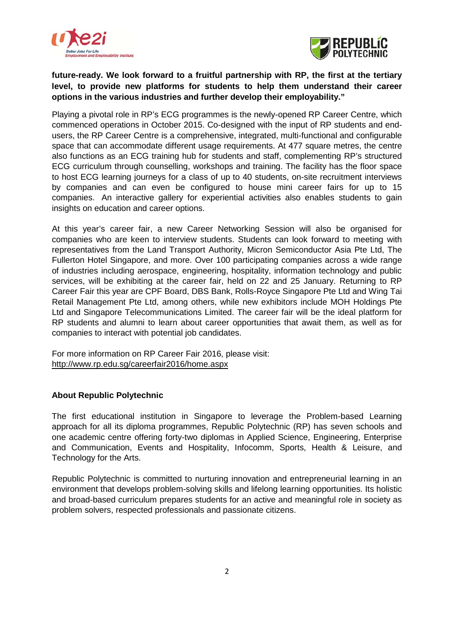



## **future-ready. We look forward to a fruitful partnership with RP, the first at the tertiary level, to provide new platforms for students to help them understand their career options in the various industries and further develop their employability."**

Playing a pivotal role in RP's ECG programmes is the newly-opened RP Career Centre, which commenced operations in October 2015. Co-designed with the input of RP students and endusers, the RP Career Centre is a comprehensive, integrated, multi-functional and configurable space that can accommodate different usage requirements. At 477 square metres, the centre also functions as an ECG training hub for students and staff, complementing RP's structured ECG curriculum through counselling, workshops and training. The facility has the floor space to host ECG learning journeys for a class of up to 40 students, on-site recruitment interviews by companies and can even be configured to house mini career fairs for up to 15 companies. An interactive gallery for experiential activities also enables students to gain insights on education and career options.

At this year's career fair, a new Career Networking Session will also be organised for companies who are keen to interview students. Students can look forward to meeting with representatives from the Land Transport Authority, Micron Semiconductor Asia Pte Ltd, The Fullerton Hotel Singapore, and more. Over 100 participating companies across a wide range of industries including aerospace, engineering, hospitality, information technology and public services, will be exhibiting at the career fair, held on 22 and 25 January. Returning to RP Career Fair this year are CPF Board, DBS Bank, Rolls-Royce Singapore Pte Ltd and Wing Tai Retail Management Pte Ltd, among others, while new exhibitors include MOH Holdings Pte Ltd and Singapore Telecommunications Limited. The career fair will be the ideal platform for RP students and alumni to learn about career opportunities that await them, as well as for companies to interact with potential job candidates.

For more information on RP Career Fair 2016, please visit: <http://www.rp.edu.sg/careerfair2016/home.aspx>

## **About Republic Polytechnic**

The first educational institution in Singapore to leverage the Problem-based Learning approach for all its diploma programmes, Republic Polytechnic (RP) has seven schools and one academic centre offering forty-two diplomas in Applied Science, Engineering, Enterprise and Communication, Events and Hospitality, Infocomm, Sports, Health & Leisure, and Technology for the Arts.

Republic Polytechnic is committed to nurturing innovation and entrepreneurial learning in an environment that develops problem-solving skills and lifelong learning opportunities. Its holistic and broad-based curriculum prepares students for an active and meaningful role in society as problem solvers, respected professionals and passionate citizens.